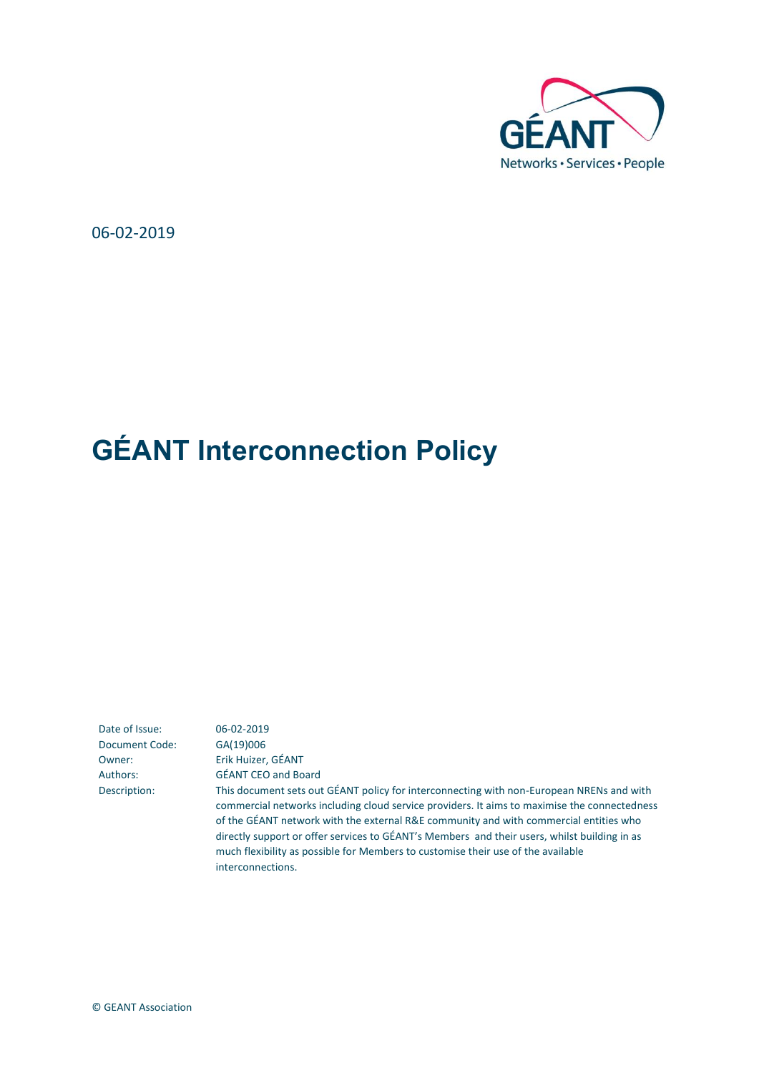

06-02-2019

# **GÉANT Interconnection Policy**

Date of Issue: 06-02-2019 Document Code: GA(19)006

Owner: Erik Huizer, GÉANT Authors: GÉANT CEO and Board Description: This document sets out GÉANT policy for interconnecting with non-European NRENs and with commercial networks including cloud service providers. It aims to maximise the connectedness of the GÉANT network with the external R&E community and with commercial entities who directly support or offer services to GÉANT's Members and their users, whilst building in as much flexibility as possible for Members to customise their use of the available interconnections.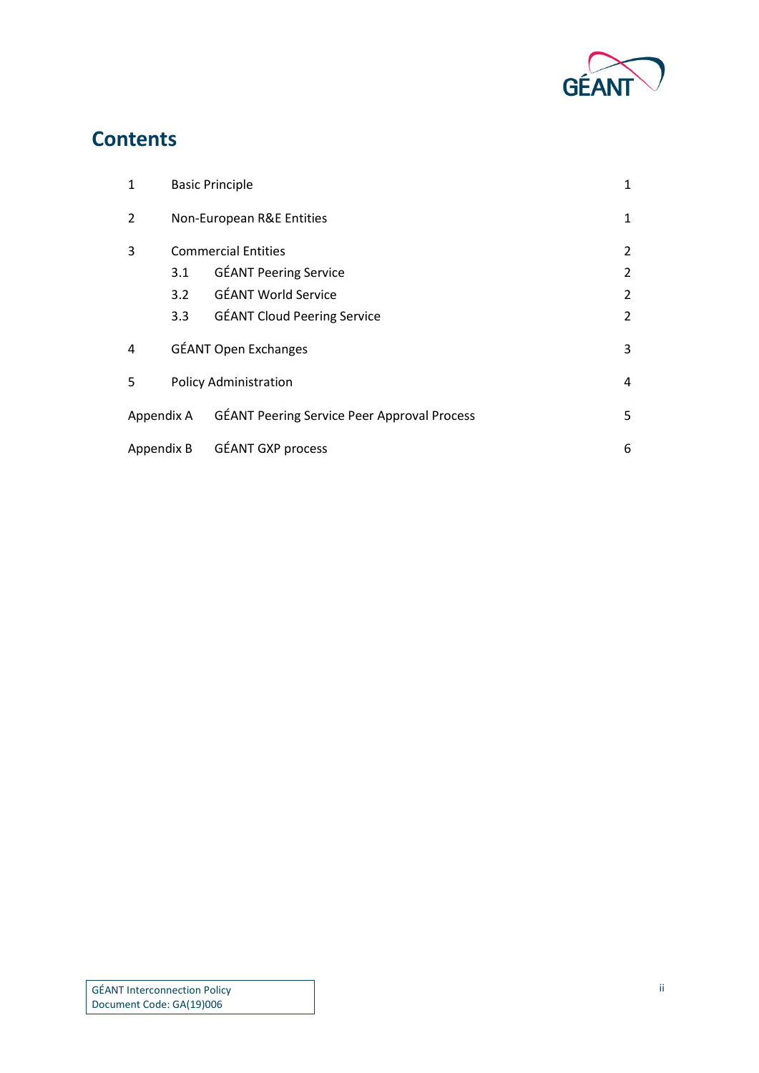

#### **Contents**

| $\mathbf{1}$   | <b>Basic Principle</b>       |                                                    | 1              |
|----------------|------------------------------|----------------------------------------------------|----------------|
| $\overline{2}$ | Non-European R&E Entities    |                                                    | 1              |
| 3              | <b>Commercial Entities</b>   |                                                    | 2              |
|                | 3.1                          | <b>GÉANT Peering Service</b>                       | $\overline{2}$ |
|                | 3.2                          | <b>GÉANT World Service</b>                         | 2              |
|                | 3.3                          | <b>GÉANT Cloud Peering Service</b>                 | 2              |
| 4              | <b>GÉANT Open Exchanges</b>  |                                                    | 3              |
| 5              | <b>Policy Administration</b> |                                                    | 4              |
| Appendix A     |                              | <b>GÉANT Peering Service Peer Approval Process</b> | 5              |
| Appendix B     |                              | <b>GÉANT GXP process</b>                           | 6              |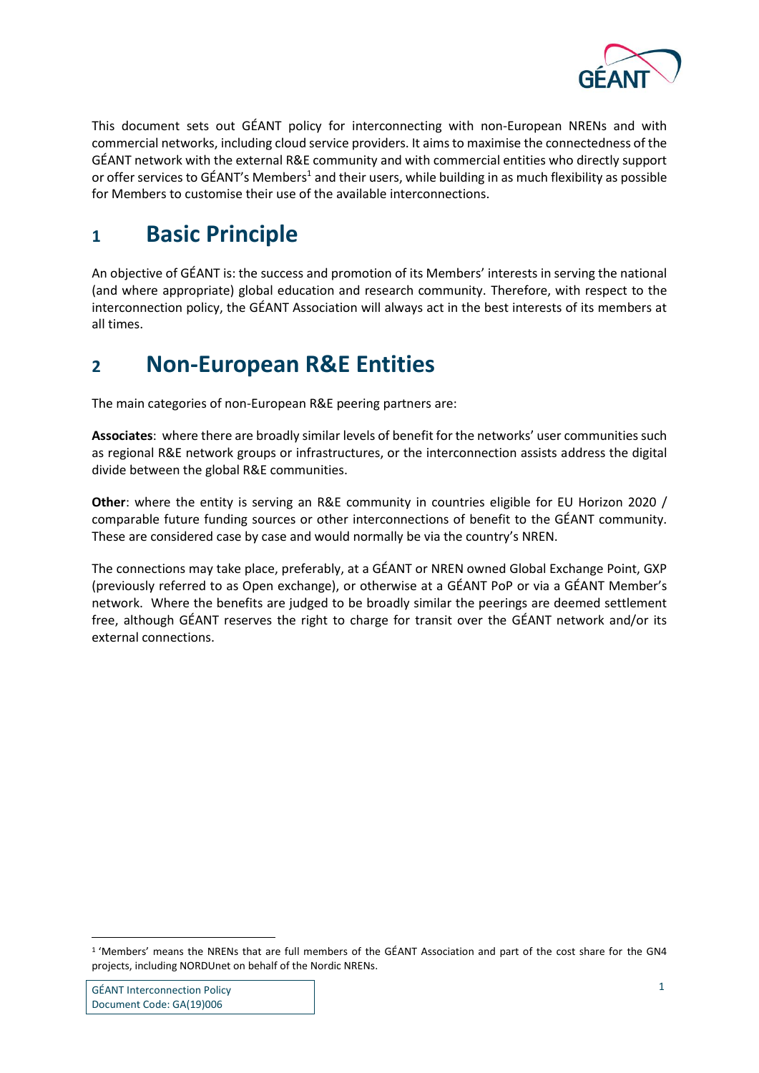

This document sets out GÉANT policy for interconnecting with non-European NRENs and with commercial networks, including cloud service providers. It aims to maximise the connectedness of the GÉANT network with the external R&E community and with commercial entities who directly support or offer services to GÉANT's Members<sup>1</sup> and their users, while building in as much flexibility as possible for Members to customise their use of the available interconnections.

#### <span id="page-2-0"></span>**1 Basic Principle**

An objective of GÉANT is: the success and promotion of its Members' interests in serving the national (and where appropriate) global education and research community. Therefore, with respect to the interconnection policy, the GÉANT Association will always act in the best interests of its members at all times.

#### <span id="page-2-1"></span>**2 Non-European R&E Entities**

The main categories of non-European R&E peering partners are:

**Associates**: where there are broadly similar levels of benefit for the networks' user communities such as regional R&E network groups or infrastructures, or the interconnection assists address the digital divide between the global R&E communities.

**Other**: where the entity is serving an R&E community in countries eligible for EU Horizon 2020 / comparable future funding sources or other interconnections of benefit to the GÉANT community. These are considered case by case and would normally be via the country's NREN.

The connections may take place, preferably, at a GÉANT or NREN owned Global Exchange Point, GXP (previously referred to as Open exchange), or otherwise at a GÉANT PoP or via a GÉANT Member's network. Where the benefits are judged to be broadly similar the peerings are deemed settlement free, although GÉANT reserves the right to charge for transit over the GÉANT network and/or its external connections.

1

<sup>1</sup> 'Members' means the NRENs that are full members of the GÉANT Association and part of the cost share for the GN4 projects, including NORDUnet on behalf of the Nordic NRENs.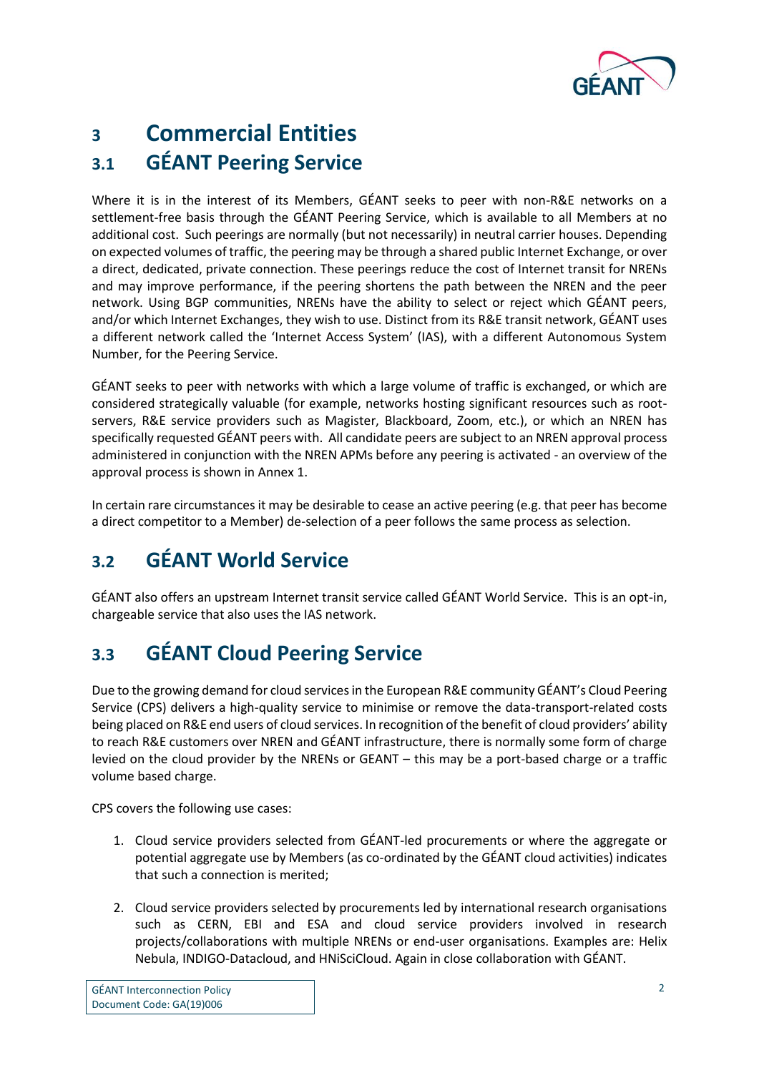

## <span id="page-3-1"></span><span id="page-3-0"></span>**3 Commercial Entities 3.1 GÉANT Peering Service**

Where it is in the interest of its Members, GÉANT seeks to peer with non-R&E networks on a settlement-free basis through the GÉANT Peering Service, which is available to all Members at no additional cost. Such peerings are normally (but not necessarily) in neutral carrier houses. Depending on expected volumes of traffic, the peering may be through a shared public Internet Exchange, or over a direct, dedicated, private connection. These peerings reduce the cost of Internet transit for NRENs and may improve performance, if the peering shortens the path between the NREN and the peer network. Using BGP communities, NRENs have the ability to select or reject which GÉANT peers, and/or which Internet Exchanges, they wish to use. Distinct from its R&E transit network, GÉANT uses a different network called the 'Internet Access System' (IAS), with a different Autonomous System Number, for the Peering Service.

GÉANT seeks to peer with networks with which a large volume of traffic is exchanged, or which are considered strategically valuable (for example, networks hosting significant resources such as rootservers, R&E service providers such as Magister, Blackboard, Zoom, etc.), or which an NREN has specifically requested GÉANT peers with. All candidate peers are subject to an NREN approval process administered in conjunction with the NREN APMs before any peering is activated - an overview of the approval process is shown in Annex 1.

In certain rare circumstances it may be desirable to cease an active peering (e.g. that peer has become a direct competitor to a Member) de-selection of a peer follows the same process as selection.

#### <span id="page-3-2"></span>**3.2 GÉANT World Service**

GÉANT also offers an upstream Internet transit service called GÉANT World Service. This is an opt-in, chargeable service that also uses the IAS network.

#### <span id="page-3-3"></span>**3.3 GÉANT Cloud Peering Service**

Due to the growing demand for cloud services in the European R&E community GÉANT's Cloud Peering Service (CPS) delivers a high-quality service to minimise or remove the data-transport-related costs being placed on R&E end users of cloud services. In recognition of the benefit of cloud providers' ability to reach R&E customers over NREN and GÉANT infrastructure, there is normally some form of charge levied on the cloud provider by the NRENs or GEANT – this may be a port-based charge or a traffic volume based charge.

CPS covers the following use cases:

- 1. Cloud service providers selected from GÉANT-led procurements or where the aggregate or potential aggregate use by Members (as co-ordinated by the GÉANT cloud activities) indicates that such a connection is merited;
- 2. Cloud service providers selected by procurements led by international research organisations such as CERN, EBI and ESA and cloud service providers involved in research projects/collaborations with multiple NRENs or end-user organisations. Examples are: Helix Nebula, INDIGO-Datacloud, and HNiSciCloud. Again in close collaboration with GÉANT.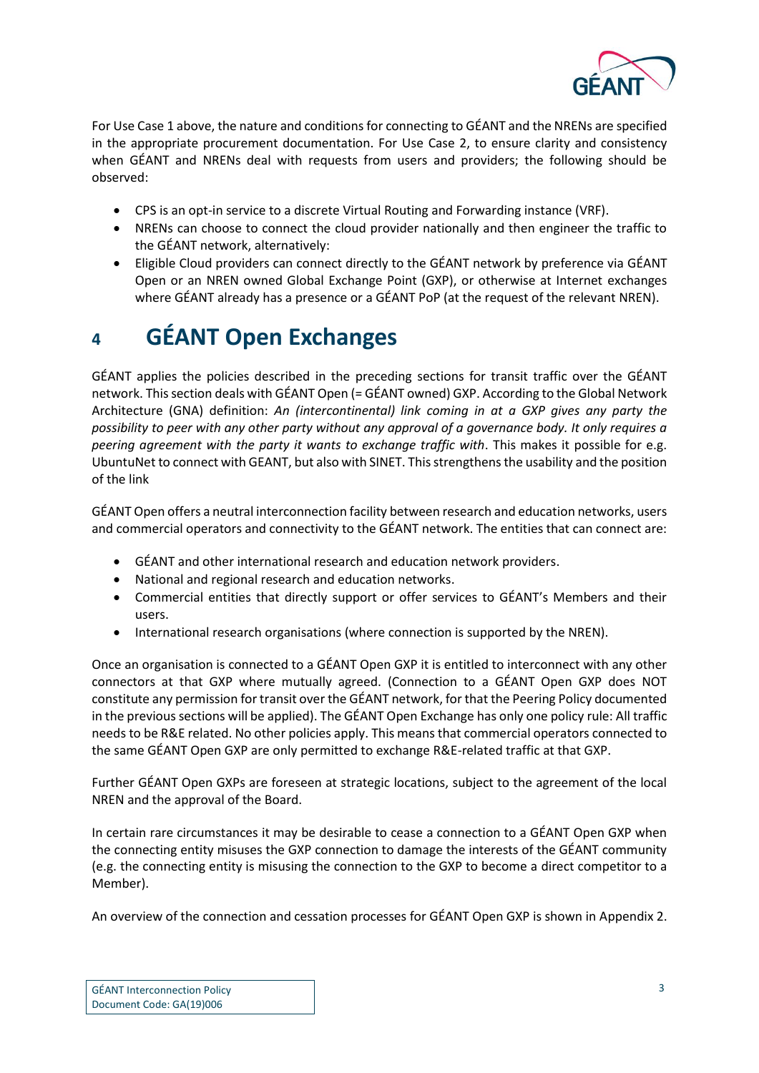

For Use Case 1 above, the nature and conditions for connecting to GÉANT and the NRENs are specified in the appropriate procurement documentation. For Use Case 2, to ensure clarity and consistency when GÉANT and NRENs deal with requests from users and providers; the following should be observed:

- CPS is an opt-in service to a discrete Virtual Routing and Forwarding instance (VRF).
- NRENs can choose to connect the cloud provider nationally and then engineer the traffic to the GÉANT network, alternatively:
- Eligible Cloud providers can connect directly to the GÉANT network by preference via GÉANT Open or an NREN owned Global Exchange Point (GXP), or otherwise at Internet exchanges where GÉANT already has a presence or a GÉANT PoP (at the request of the relevant NREN).

### <span id="page-4-0"></span>**4 GÉANT Open Exchanges**

GÉANT applies the policies described in the preceding sections for transit traffic over the GÉANT network. This section deals with GÉANT Open (= GÉANT owned) GXP. According to the Global Network Architecture (GNA) definition: *An (intercontinental) link coming in at a GXP gives any party the possibility to peer with any other party without any approval of a governance body. It only requires a peering agreement with the party it wants to exchange traffic with*. This makes it possible for e.g. UbuntuNet to connect with GEANT, but also with SINET. This strengthens the usability and the position of the link

GÉANT Open offers a neutral interconnection facility between research and education networks, users and commercial operators and connectivity to the GÉANT network. The entities that can connect are:

- GÉANT and other international research and education network providers.
- National and regional research and education networks.
- Commercial entities that directly support or offer services to GÉANT's Members and their users.
- International research organisations (where connection is supported by the NREN).

Once an organisation is connected to a GÉANT Open GXP it is entitled to interconnect with any other connectors at that GXP where mutually agreed. (Connection to a GÉANT Open GXP does NOT constitute any permission for transit over the GÉANT network, for that the Peering Policy documented in the previous sections will be applied). The GÉANT Open Exchange has only one policy rule: All traffic needs to be R&E related. No other policies apply. This means that commercial operators connected to the same GÉANT Open GXP are only permitted to exchange R&E-related traffic at that GXP.

Further GÉANT Open GXPs are foreseen at strategic locations, subject to the agreement of the local NREN and the approval of the Board.

In certain rare circumstances it may be desirable to cease a connection to a GÉANT Open GXP when the connecting entity misuses the GXP connection to damage the interests of the GÉANT community (e.g. the connecting entity is misusing the connection to the GXP to become a direct competitor to a Member).

An overview of the connection and cessation processes for GÉANT Open GXP is shown in Appendix 2.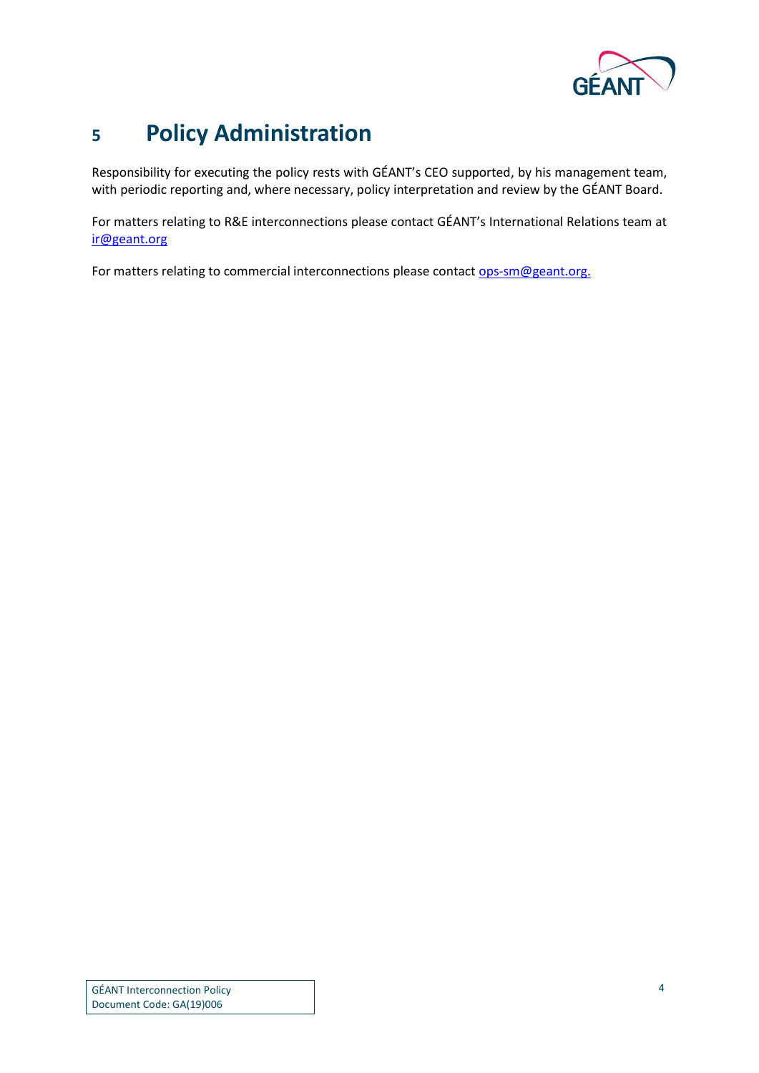

### <span id="page-5-0"></span>**5 Policy Administration**

Responsibility for executing the policy rests with GÉANT's CEO supported, by his management team, with periodic reporting and, where necessary, policy interpretation and review by the GÉANT Board.

For matters relating to R&E interconnections please contact GÉANT's International Relations team at [ir@geant.org](mailto:ir@geant.org)

For matters relating to commercial interconnections please contac[t ops-sm@geant.org.](mailto:ops-sm@geant.org)

GÉANT Interconnection Policy Document Code: GA(19)006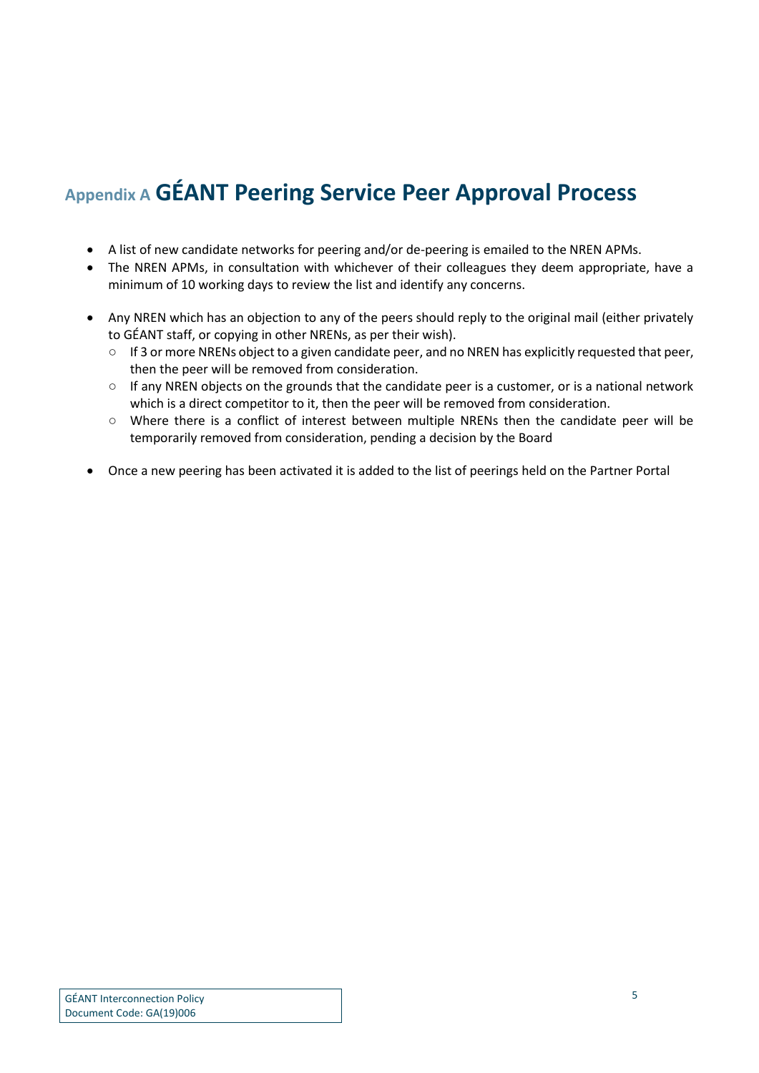### <span id="page-6-0"></span>**Appendix A GÉANT Peering Service Peer Approval Process**

- A list of new candidate networks for peering and/or de-peering is emailed to the NREN APMs.
- The NREN APMs, in consultation with whichever of their colleagues they deem appropriate, have a minimum of 10 working days to review the list and identify any concerns.
- Any NREN which has an objection to any of the peers should reply to the original mail (either privately to GÉANT staff, or copying in other NRENs, as per their wish).
	- If 3 or more NRENs object to a given candidate peer, and no NREN has explicitly requested that peer, then the peer will be removed from consideration.
	- $\circ$  If any NREN objects on the grounds that the candidate peer is a customer, or is a national network which is a direct competitor to it, then the peer will be removed from consideration.
	- Where there is a conflict of interest between multiple NRENs then the candidate peer will be temporarily removed from consideration, pending a decision by the Board
- Once a new peering has been activated it is added to the list of peerings held on the Partner Portal